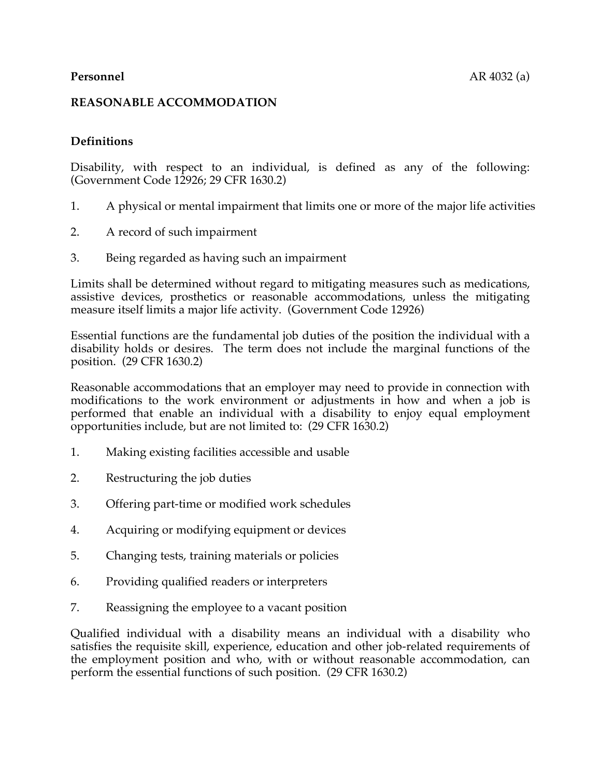#### **REASONABLE ACCOMMODATION**

# **Definitions**

Disability, with respect to an individual, is defined as any of the following: (Government Code 12926; 29 CFR 1630.2)

- 1. A physical or mental impairment that limits one or more of the major life activities
- 2. A record of such impairment
- 3. Being regarded as having such an impairment

Limits shall be determined without regard to mitigating measures such as medications, assistive devices, prosthetics or reasonable accommodations, unless the mitigating measure itself limits a major life activity. (Government Code 12926)

Essential functions are the fundamental job duties of the position the individual with a disability holds or desires. The term does not include the marginal functions of the position. (29 CFR 1630.2)

Reasonable accommodations that an employer may need to provide in connection with modifications to the work environment or adjustments in how and when a job is performed that enable an individual with a disability to enjoy equal employment opportunities include, but are not limited to: (29 CFR 1630.2)

- 1. Making existing facilities accessible and usable
- 2. Restructuring the job duties
- 3. Offering part-time or modified work schedules
- 4. Acquiring or modifying equipment or devices
- 5. Changing tests, training materials or policies
- 6. Providing qualified readers or interpreters
- 7. Reassigning the employee to a vacant position

Qualified individual with a disability means an individual with a disability who satisfies the requisite skill, experience, education and other job-related requirements of the employment position and who, with or without reasonable accommodation, can perform the essential functions of such position. (29 CFR 1630.2)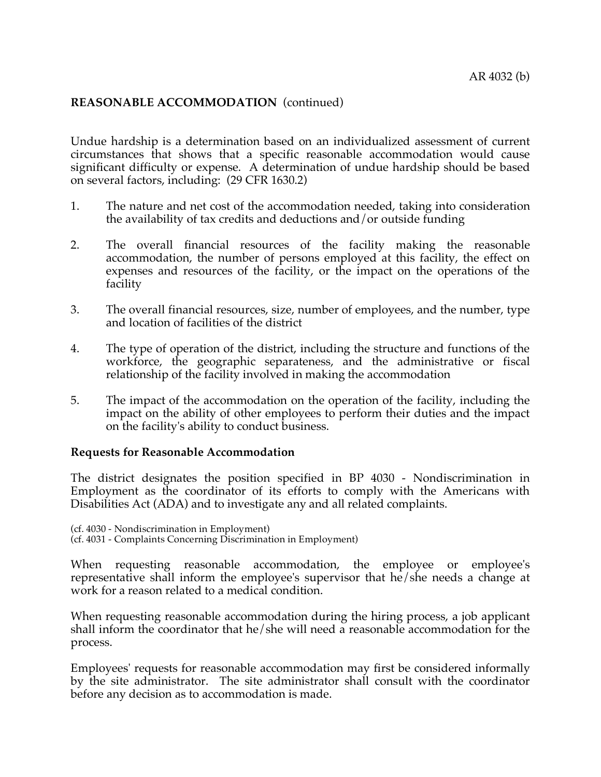Undue hardship is a determination based on an individualized assessment of current circumstances that shows that a specific reasonable accommodation would cause significant difficulty or expense. A determination of undue hardship should be based on several factors, including: (29 CFR 1630.2)

- 1. The nature and net cost of the accommodation needed, taking into consideration the availability of tax credits and deductions and/or outside funding
- 2. The overall financial resources of the facility making the reasonable accommodation, the number of persons employed at this facility, the effect on expenses and resources of the facility, or the impact on the operations of the facility
- 3. The overall financial resources, size, number of employees, and the number, type and location of facilities of the district
- 4. The type of operation of the district, including the structure and functions of the workforce, the geographic separateness, and the administrative or fiscal relationship of the facility involved in making the accommodation
- 5. The impact of the accommodation on the operation of the facility, including the impact on the ability of other employees to perform their duties and the impact on the facility's ability to conduct business.

#### **Requests for Reasonable Accommodation**

The district designates the position specified in BP 4030 - Nondiscrimination in Employment as the coordinator of its efforts to comply with the Americans with Disabilities Act (ADA) and to investigate any and all related complaints.

(cf. 4030 - Nondiscrimination in Employment) (cf. 4031 - Complaints Concerning Discrimination in Employment)

When requesting reasonable accommodation, the employee or employee's representative shall inform the employee's supervisor that he/she needs a change at work for a reason related to a medical condition.

When requesting reasonable accommodation during the hiring process, a job applicant shall inform the coordinator that he/she will need a reasonable accommodation for the process.

Employees' requests for reasonable accommodation may first be considered informally by the site administrator. The site administrator shall consult with the coordinator before any decision as to accommodation is made.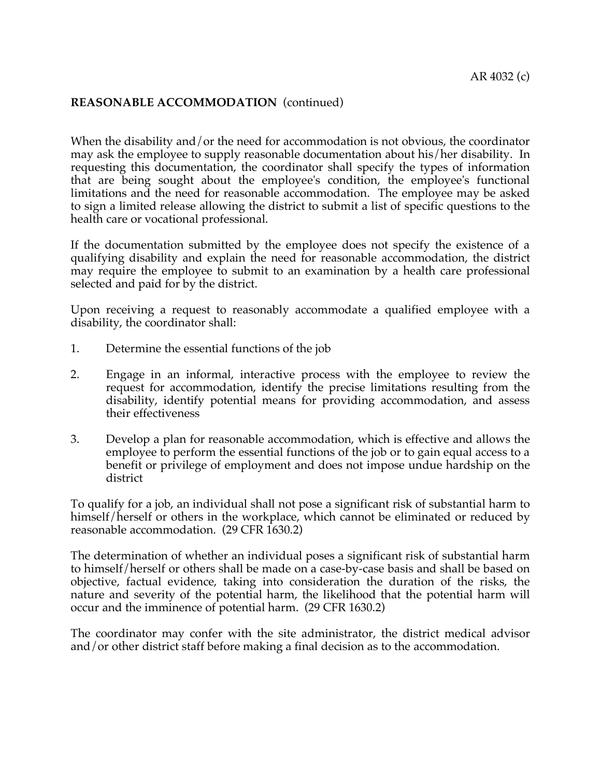When the disability and/or the need for accommodation is not obvious, the coordinator may ask the employee to supply reasonable documentation about his/her disability. In requesting this documentation, the coordinator shall specify the types of information that are being sought about the employee's condition, the employee's functional limitations and the need for reasonable accommodation. The employee may be asked to sign a limited release allowing the district to submit a list of specific questions to the health care or vocational professional.

If the documentation submitted by the employee does not specify the existence of a qualifying disability and explain the need for reasonable accommodation, the district may require the employee to submit to an examination by a health care professional selected and paid for by the district.

Upon receiving a request to reasonably accommodate a qualified employee with a disability, the coordinator shall:

- 1. Determine the essential functions of the job
- 2. Engage in an informal, interactive process with the employee to review the request for accommodation, identify the precise limitations resulting from the disability, identify potential means for providing accommodation, and assess their effectiveness
- 3. Develop a plan for reasonable accommodation, which is effective and allows the employee to perform the essential functions of the job or to gain equal access to a benefit or privilege of employment and does not impose undue hardship on the district

To qualify for a job, an individual shall not pose a significant risk of substantial harm to himself/herself or others in the workplace, which cannot be eliminated or reduced by reasonable accommodation. (29 CFR 1630.2)

The determination of whether an individual poses a significant risk of substantial harm to himself/herself or others shall be made on a case-by-case basis and shall be based on objective, factual evidence, taking into consideration the duration of the risks, the nature and severity of the potential harm, the likelihood that the potential harm will occur and the imminence of potential harm. (29 CFR 1630.2)

The coordinator may confer with the site administrator, the district medical advisor and/or other district staff before making a final decision as to the accommodation.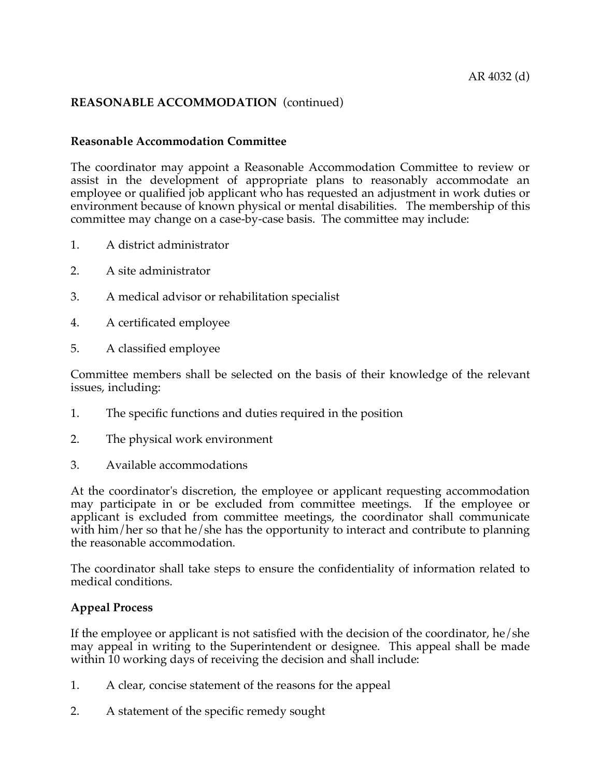#### **Reasonable Accommodation Committee**

The coordinator may appoint a Reasonable Accommodation Committee to review or assist in the development of appropriate plans to reasonably accommodate an employee or qualified job applicant who has requested an adjustment in work duties or environment because of known physical or mental disabilities. The membership of this committee may change on a case-by-case basis. The committee may include:

- 1. A district administrator
- 2. A site administrator
- 3. A medical advisor or rehabilitation specialist
- 4. A certificated employee
- 5. A classified employee

Committee members shall be selected on the basis of their knowledge of the relevant issues, including:

- 1. The specific functions and duties required in the position
- 2. The physical work environment
- 3. Available accommodations

At the coordinator's discretion, the employee or applicant requesting accommodation may participate in or be excluded from committee meetings. If the employee or applicant is excluded from committee meetings, the coordinator shall communicate with him/her so that he/she has the opportunity to interact and contribute to planning the reasonable accommodation.

The coordinator shall take steps to ensure the confidentiality of information related to medical conditions.

#### **Appeal Process**

If the employee or applicant is not satisfied with the decision of the coordinator, he/she may appeal in writing to the Superintendent or designee. This appeal shall be made within 10 working days of receiving the decision and shall include:

- 1. A clear, concise statement of the reasons for the appeal
- 2. A statement of the specific remedy sought